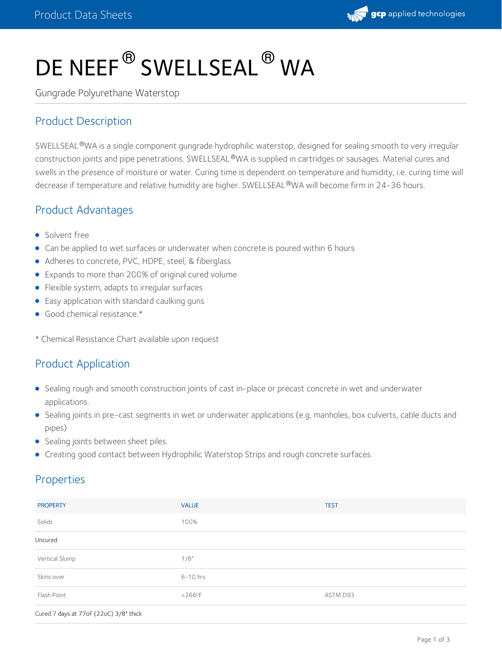

# DE NEEF $^\circledR$  SWELLSEAL  $^\circledR$  WA

Gungrade Polyurethane Waterstop

# Product Description

SWELLSEAL®WA is a single component gungrade hydrophilic waterstop, designed for sealing smooth to very irregular construction joints and pipe penetrations. SWELLSEAL®WA is supplied in cartridges or sausages. Material cures and swells in the presence of moisture or water. Curing time is dependent on temperature and humidity, i.e. curing time will decrease if temperature and relative humidity are higher. SWELLSEAL®WA will become firm in 24-36 hours.

## Product Advantages

- **Solvent free**
- Can be applied to wet surfaces or underwater when concrete is poured within 6 hours
- Adheres to concrete, PVC, HDPE, steel, & fiberglass
- Expands to more than 200% of original cured volume
- Flexible system, adapts to irregular surfaces
- Easy application with standard caulking guns
- Good chemical resistance.\*
- \* Chemical Resistance Chart available upon request

## Product Application

- Sealing rough and smooth construction joints of cast in-place or precast concrete in wet and underwater applications.
- Sealing joints in pre-cast segments in wet or underwater applications (e.g. manholes, box culverts, cable ducts and pipes)
- Sealing joints between sheet piles.
- Creating good contact between Hydrophilic Waterstop Strips and rough concrete surfaces.

## Properties

| <b>PROPERTY</b>                        | <b>VALUE</b>          | <b>TEST</b> |  |
|----------------------------------------|-----------------------|-------------|--|
| Solids                                 | 100%                  |             |  |
| Uncured                                |                       |             |  |
| Vertical Slump                         | 1/8''                 |             |  |
| Skins over                             | $6-10$ hrs            |             |  |
| Flash Point                            | $>266$ <sup>o</sup> F | ASTM D93    |  |
| Cured 7 days at 77oF (22oC) 3/8" thick |                       |             |  |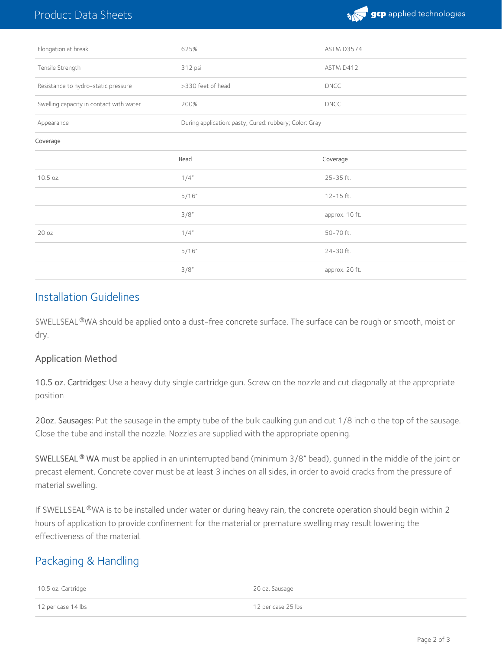

| Elongation at break                     | 625%                                                   | ASTM D3574     |
|-----------------------------------------|--------------------------------------------------------|----------------|
| Tensile Strength                        | 312 psi                                                | ASTM D412      |
| Resistance to hydro-static pressure     | >330 feet of head                                      | <b>DNCC</b>    |
| Swelling capacity in contact with water | 200%                                                   | <b>DNCC</b>    |
| Appearance                              | During application: pasty, Cured: rubbery; Color: Gray |                |
| Coverage                                |                                                        |                |
|                                         | Bead                                                   | Coverage       |
| 10.5 oz.                                | 1/4''                                                  | 25-35 ft.      |
|                                         | 5/16''                                                 | 12-15 ft.      |
|                                         | 3/8''                                                  | approx. 10 ft. |
| 20 oz                                   | 1/4''                                                  | 50-70 ft.      |
|                                         | 5/16''                                                 | 24-30 ft.      |
|                                         | 3/8''                                                  | approx. 20 ft. |

## Installation Guidelines

SWELLSEAL ®WA should be applied onto a dust-free concrete surface. The surface can be rough or smooth, moist or dry.

#### Application Method

10.5 oz. Cartridges: Use a heavy duty single cartridge gun. Screw on the nozzle and cut diagonally at the appropriate position

20oz. Sausages: Put the sausage in the empty tube of the bulk caulking gun and cut 1/8 inch o the top of the sausage. Close the tube and install the nozzle. Nozzles are supplied with the appropriate opening.

SWELLSEAL WA must be applied in an uninterrupted band (minimum 3/8" bead), gunned in the middle of the joint or **®** precast element. Concrete cover must be at least 3 inches on all sides, in order to avoid cracks from the pressure of material swelling.

If SWELLSEAL®WA is to be installed under water or during heavy rain, the concrete operation should begin within 2 hours of application to provide confinement for the material or premature swelling may result lowering the effectiveness of the material.

# Packaging & Handling

| 10.5 oz. Cartridge | 20 oz. Sausage     |
|--------------------|--------------------|
| 12 per case 14 lbs | 12 per case 25 lbs |